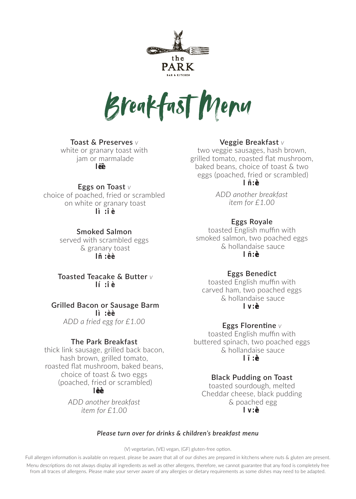

Breakfast Menu

# **Toast & Preserves** *<sup>V</sup>*

white or granary toast with jam or marmalade  $\mathsf{I}^{\mathsf{I}}$ 

## **Eggs on Toast** *<sup>V</sup>*

choice of poached, fried or scrambled on white or granary toast  $\mathbf{I}$  :  $\mathbf{I}$ 

# **Smoked Salmon**

served with scrambled eggs & granary toast l– :• •

#### **Toasted Teacake & Butter** *<sup>V</sup>* **l' :" •**

**Grilled Bacon or Sausage Barm l" :• •** *ADD a fried egg for £1.00*

## **The Park Breakfast**

thick link sausage, grilled back bacon, hash brown, grilled tomato, roasted flat mushroom, baked beans, choice of toast & two eggs (poached, fried or scrambled) l••:••-

> *ADD another breakfast item for £1.00*

# **Veggie Breakfast** *<sup>V</sup>*

two veggie sausages, hash brown, grilled tomato, roasted flat mushroom, baked beans, choice of toast & two eggs (poached, fried or scrambled)  $\mathbf{I}$ 

> *ADD another breakfast item for £1.00*

#### **Eggs Royale**

toasted English muffin with smoked salmon, two poached eggs & hollandaise sauce l – :••

## **Eggs Benedict**

toasted English muffin with carved ham, two poached eggs & hollandaise sauce  $\vert v \rangle$ 

# **Eggs Florentine** *<sup>V</sup>*

toasted English muffin with buttered spinach, two poached eggs & hollandaise sauce  $\mathbf{I}$ 

#### **Black Pudding on Toast**

toasted sourdough, melted Cheddar cheese, black pudding & poached egg  $|v|$ 

#### *Please turn over for drinks & children's breakfast menu*

(V) vegetarian, (VE) vegan, (GF) gluten-free option.

Full allergen information is available on request. please be aware that all of our dishes are prepared in kitchens where nuts & gluten are present.

Menu descriptions do not always display all ingredients as well as other allergens, therefore, we cannot guarantee that any food is completely free from all traces of allergens. Please make your server aware of any allergies or dietary requirements as some dishes may need to be adapted.